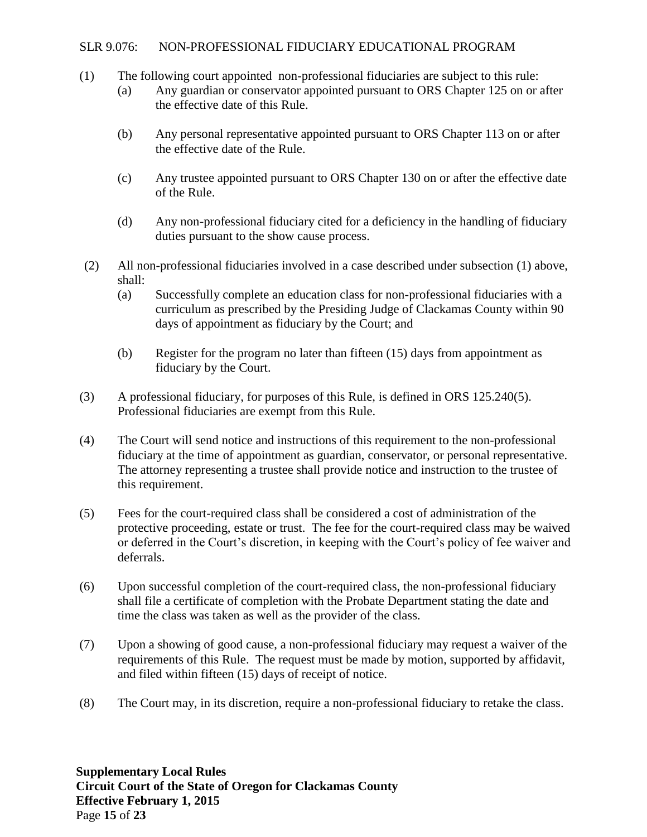## SLR 9.076: NON-PROFESSIONAL FIDUCIARY EDUCATIONAL PROGRAM

- (1) The following court appointed non-professional fiduciaries are subject to this rule:
	- (a) Any guardian or conservator appointed pursuant to ORS Chapter 125 on or after the effective date of this Rule.
	- (b) Any personal representative appointed pursuant to ORS Chapter 113 on or after the effective date of the Rule.
	- (c) Any trustee appointed pursuant to ORS Chapter 130 on or after the effective date of the Rule.
	- (d) Any non-professional fiduciary cited for a deficiency in the handling of fiduciary duties pursuant to the show cause process.
- (2) All non-professional fiduciaries involved in a case described under subsection (1) above, shall:
	- (a) Successfully complete an education class for non-professional fiduciaries with a curriculum as prescribed by the Presiding Judge of Clackamas County within 90 days of appointment as fiduciary by the Court; and
	- (b) Register for the program no later than fifteen (15) days from appointment as fiduciary by the Court.
- (3) A professional fiduciary, for purposes of this Rule, is defined in ORS 125.240(5). Professional fiduciaries are exempt from this Rule.
- (4) The Court will send notice and instructions of this requirement to the non-professional fiduciary at the time of appointment as guardian, conservator, or personal representative. The attorney representing a trustee shall provide notice and instruction to the trustee of this requirement.
- (5) Fees for the court-required class shall be considered a cost of administration of the protective proceeding, estate or trust. The fee for the court-required class may be waived or deferred in the Court's discretion, in keeping with the Court's policy of fee waiver and deferrals.
- (6) Upon successful completion of the court-required class, the non-professional fiduciary shall file a certificate of completion with the Probate Department stating the date and time the class was taken as well as the provider of the class.
- (7) Upon a showing of good cause, a non-professional fiduciary may request a waiver of the requirements of this Rule. The request must be made by motion, supported by affidavit, and filed within fifteen (15) days of receipt of notice.
- (8) The Court may, in its discretion, require a non-professional fiduciary to retake the class.